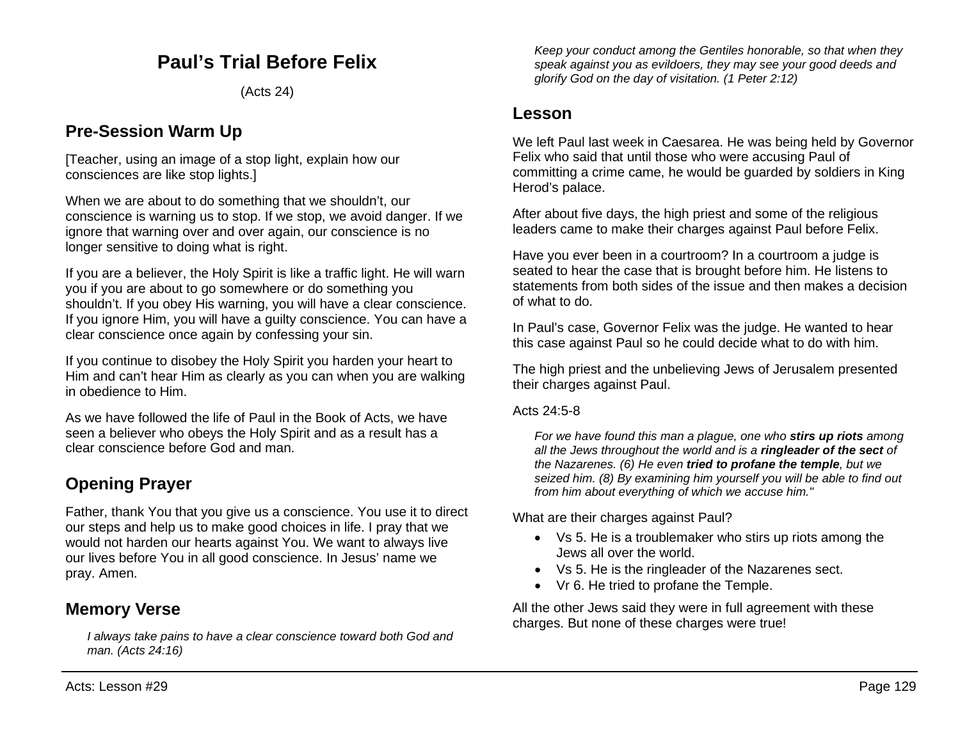# **Paul's Trial Before Felix**

(Acts 24)

## **Pre-Session Warm Up**

[Teacher, using an image of a stop light, explain how our consciences are like stop lights.]

When we are about to do something that we shouldn't, our conscience is warning us to stop. If we stop, we avoid danger. If we ignore that warning over and over again, our conscience is no longer sensitive to doing what is right.

If you are a believer, the Holy Spirit is like a traffic light. He will warn you if you are about to go somewhere or do something you shouldn't. If you obey His warning, you will have a clear conscience. If you ignore Him, you will have a guilty conscience. You can have a clear conscience once again by confessing your sin.

If you continue to disobey the Holy Spirit you harden your heart to Him and can't hear Him as clearly as you can when you are walking in obedience to Him.

As we have followed the life of Paul in the Book of Acts, we have seen a believer who obeys the Holy Spirit and as a result has a clear conscience before God and man.

# **Opening Prayer**

Father, thank You that you give us a conscience. You use it to direct our steps and help us to make good choices in life. I pray that we would not harden our hearts against You. We want to always live our lives before You in all good conscience. In Jesus' name we pray. Amen.

## **Memory Verse**

*I always take pains to have a clear conscience toward both God and man. (Acts 24:16)*

*Keep your conduct among the Gentiles honorable, so that when they speak against you as evildoers, they may see your good deeds and glorify God on the day of visitation. (1 Peter 2:12)*

### **Lesson**

We left Paul last week in Caesarea. He was being held by Governor Felix who said that until those who were accusing Paul of committing a crime came, he would be guarded by soldiers in King Herod's palace.

After about five days, the high priest and some of the religious leaders came to make their charges against Paul before Felix.

Have you ever been in a courtroom? In a courtroom a judge is seated to hear the case that is brought before him. He listens to statements from both sides of the issue and then makes a decision of what to do.

In Paul's case, Governor Felix was the judge. He wanted to hear this case against Paul so he could decide what to do with him.

The high priest and the unbelieving Jews of Jerusalem presented their charges against Paul.

Acts 24:5-8

*For we have found this man a plague, one who stirs up riots among all the Jews throughout the world and is a ringleader of the sect of the Nazarenes. (6) He even tried to profane the temple, but we seized him. (8) By examining him yourself you will be able to find out from him about everything of which we accuse him."*

What are their charges against Paul?

- Vs 5. He is a troublemaker who stirs up riots among the Jews all over the world.
- Vs 5. He is the ringleader of the Nazarenes sect.
- Vr 6. He tried to profane the Temple.

All the other Jews said they were in full agreement with these charges. But none of these charges were true!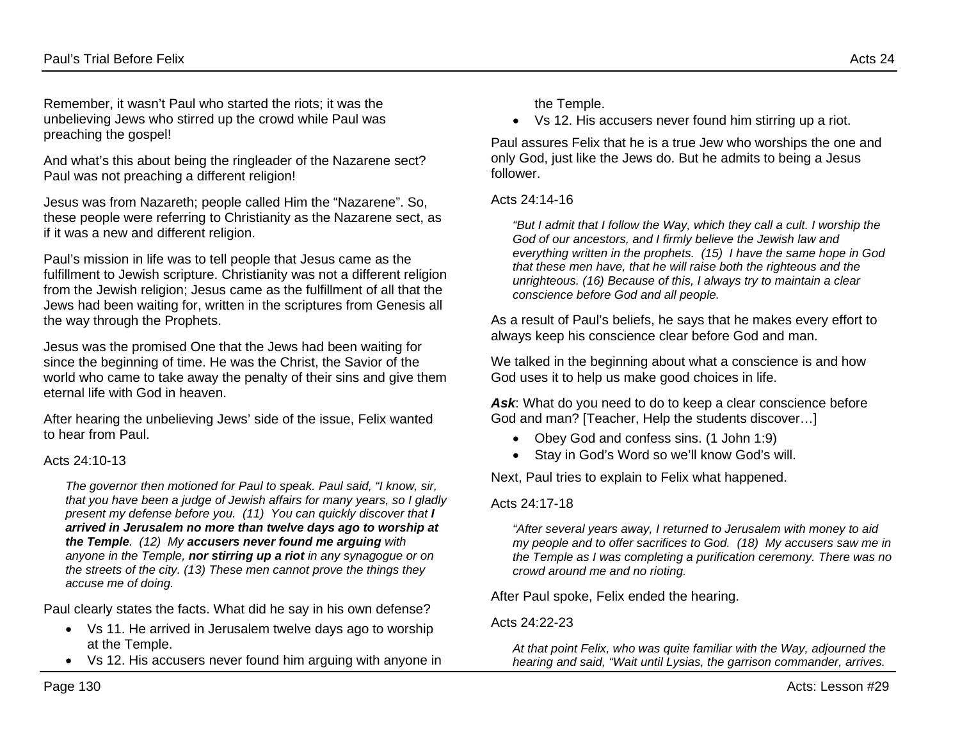Remember, it wasn't Paul who started the riots; it was the unbelieving Jews who stirred up the crowd while Paul was preaching the gospel!

And what's this about being the ringleader of the Nazarene sect? Paul was not preaching a different religion!

Jesus was from Nazareth; people called Him the "Nazarene". So, these people were referring to Christianity as the Nazarene sect, as if it was a new and different religion.

Paul's mission in life was to tell people that Jesus came as the fulfillment to Jewish scripture. Christianity was not a different religion from the Jewish religion; Jesus came as the fulfillment of all that the Jews had been waiting for, written in the scriptures from Genesis all the way through the Prophets.

Jesus was the promised One that the Jews had been waiting for since the beginning of time. He was the Christ, the Savior of the world who came to take away the penalty of their sins and give them eternal life with God in heaven.

After hearing the unbelieving Jews' side of the issue, Felix wanted to hear from Paul.

#### Acts 24:10-13

*The governor then motioned for Paul to speak. Paul said, "I know, sir, that you have been a judge of Jewish affairs for many years, so I gladly present my defense before you. (11) You can quickly discover that I arrived in Jerusalem no more than twelve days ago to worship at the Temple. (12) My accusers never found me arguing with anyone in the Temple, nor stirring up a riot in any synagogue or on the streets of the city. (13) These men cannot prove the things they accuse me of doing.*

Paul clearly states the facts. What did he say in his own defense?

- Vs 11. He arrived in Jerusalem twelve days ago to worship at the Temple.
- Vs 12. His accusers never found him arguing with anyone in

• Vs 12. His accusers never found him stirring up a riot.

Paul assures Felix that he is a true Jew who worships the one and only God, just like the Jews do. But he admits to being a Jesus follower.

#### Acts 24:14-16

*"But I admit that I follow the Way, which they call a cult. I worship the God of our ancestors, and I firmly believe the Jewish law and everything written in the prophets. (15) I have the same hope in God that these men have, that he will raise both the righteous and the unrighteous. (16) Because of this, I always try to maintain a clear conscience before God and all people.*

As a result of Paul's beliefs, he says that he makes every effort to always keep his conscience clear before God and man.

We talked in the beginning about what a conscience is and how God uses it to help us make good choices in life.

Ask: What do you need to do to keep a clear conscience before God and man? [Teacher, Help the students discover…]

- Obey God and confess sins. (1 John 1:9)
- Stay in God's Word so we'll know God's will.

Next, Paul tries to explain to Felix what happened.

#### Acts 24:17-18

*"After several years away, I returned to Jerusalem with money to aid my people and to offer sacrifices to God. (18) My accusers saw me in the Temple as I was completing a purification ceremony. There was no crowd around me and no rioting.* 

After Paul spoke, Felix ended the hearing.

#### Acts 24:22-23

*At that point Felix, who was quite familiar with the Way, adjourned the hearing and said, "Wait until Lysias, the garrison commander, arrives.*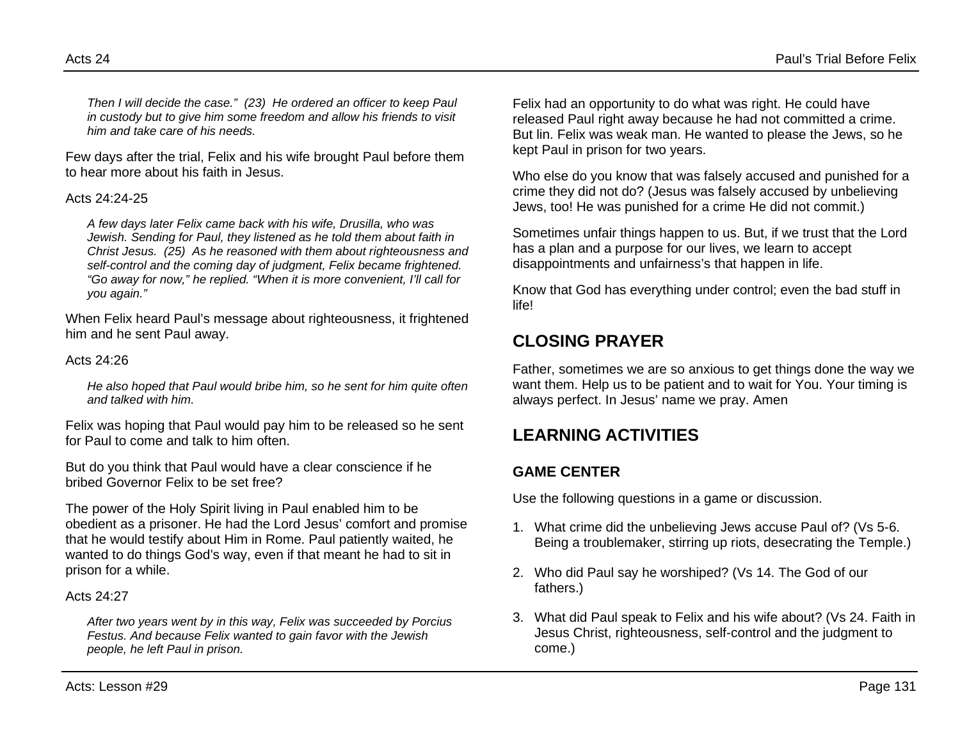*Then I will decide the case." (23) He ordered an officer to keep Paul in custody but to give him some freedom and allow his friends to visit him and take care of his needs.*

Few days after the trial, Felix and his wife brought Paul before them to hear more about his faith in Jesus.

#### Acts 24:24-25

*A few days later Felix came back with his wife, Drusilla, who was Jewish. Sending for Paul, they listened as he told them about faith in Christ Jesus. (25) As he reasoned with them about righteousness and self-control and the coming day of judgment, Felix became frightened. "Go away for now," he replied. "When it is more convenient, I'll call for you again."*

When Felix heard Paul's message about righteousness, it frightened him and he sent Paul away.

#### Acts 24:26

*He also hoped that Paul would bribe him, so he sent for him quite often and talked with him.*

Felix was hoping that Paul would pay him to be released so he sent for Paul to come and talk to him often.

But do you think that Paul would have a clear conscience if he bribed Governor Felix to be set free?

The power of the Holy Spirit living in Paul enabled him to be obedient as a prisoner. He had the Lord Jesus' comfort and promise that he would testify about Him in Rome. Paul patiently waited, he wanted to do things God's way, even if that meant he had to sit in prison for a while.

#### Acts 24:27

*After two years went by in this way, Felix was succeeded by Porcius Festus. And because Felix wanted to gain favor with the Jewish people, he left Paul in prison.*

Felix had an opportunity to do what was right. He could have released Paul right away because he had not committed a crime. But lin. Felix was weak man. He wanted to please the Jews, so he kept Paul in prison for two years.

Who else do you know that was falsely accused and punished for a crime they did not do? (Jesus was falsely accused by unbelieving Jews, too! He was punished for a crime He did not commit.)

Sometimes unfair things happen to us. But, if we trust that the Lord has a plan and a purpose for our lives, we learn to accept disappointments and unfairness's that happen in life.

Know that God has everything under control; even the bad stuff in life!

# **CLOSING PRAYER**

Father, sometimes we are so anxious to get things done the way we want them. Help us to be patient and to wait for You. Your timing is always perfect. In Jesus' name we pray. Amen

# **LEARNING ACTIVITIES**

### **GAME CENTER**

Use the following questions in a game or discussion.

- 1. What crime did the unbelieving Jews accuse Paul of? (Vs 5-6. Being a troublemaker, stirring up riots, desecrating the Temple.)
- 2. Who did Paul say he worshiped? (Vs 14. The God of our fathers.)
- 3. What did Paul speak to Felix and his wife about? (Vs 24. Faith in Jesus Christ, righteousness, self-control and the judgment to come.)